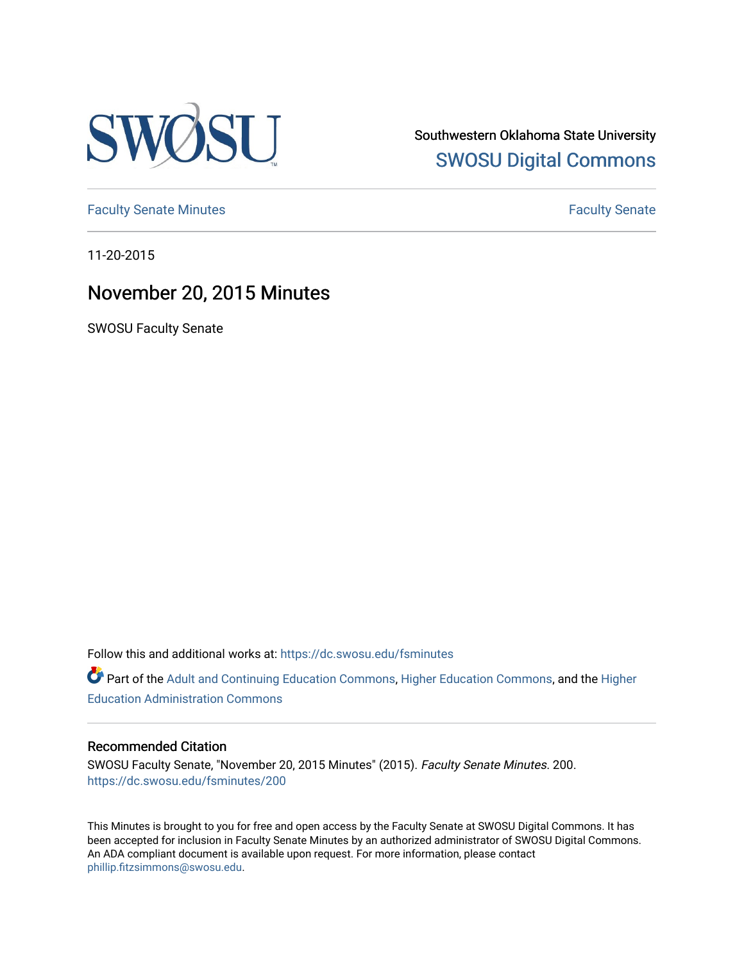

Southwestern Oklahoma State University [SWOSU Digital Commons](https://dc.swosu.edu/) 

[Faculty Senate Minutes](https://dc.swosu.edu/fsminutes) **Faculty** Senate Minutes

11-20-2015

# November 20, 2015 Minutes

SWOSU Faculty Senate

Follow this and additional works at: [https://dc.swosu.edu/fsminutes](https://dc.swosu.edu/fsminutes?utm_source=dc.swosu.edu%2Ffsminutes%2F200&utm_medium=PDF&utm_campaign=PDFCoverPages) 

Part of the [Adult and Continuing Education Commons,](http://network.bepress.com/hgg/discipline/1375?utm_source=dc.swosu.edu%2Ffsminutes%2F200&utm_medium=PDF&utm_campaign=PDFCoverPages) [Higher Education Commons,](http://network.bepress.com/hgg/discipline/1245?utm_source=dc.swosu.edu%2Ffsminutes%2F200&utm_medium=PDF&utm_campaign=PDFCoverPages) and the [Higher](http://network.bepress.com/hgg/discipline/791?utm_source=dc.swosu.edu%2Ffsminutes%2F200&utm_medium=PDF&utm_campaign=PDFCoverPages) [Education Administration Commons](http://network.bepress.com/hgg/discipline/791?utm_source=dc.swosu.edu%2Ffsminutes%2F200&utm_medium=PDF&utm_campaign=PDFCoverPages) 

#### Recommended Citation

SWOSU Faculty Senate, "November 20, 2015 Minutes" (2015). Faculty Senate Minutes. 200. [https://dc.swosu.edu/fsminutes/200](https://dc.swosu.edu/fsminutes/200?utm_source=dc.swosu.edu%2Ffsminutes%2F200&utm_medium=PDF&utm_campaign=PDFCoverPages) 

This Minutes is brought to you for free and open access by the Faculty Senate at SWOSU Digital Commons. It has been accepted for inclusion in Faculty Senate Minutes by an authorized administrator of SWOSU Digital Commons. An ADA compliant document is available upon request. For more information, please contact [phillip.fitzsimmons@swosu.edu](mailto:phillip.fitzsimmons@swosu.edu).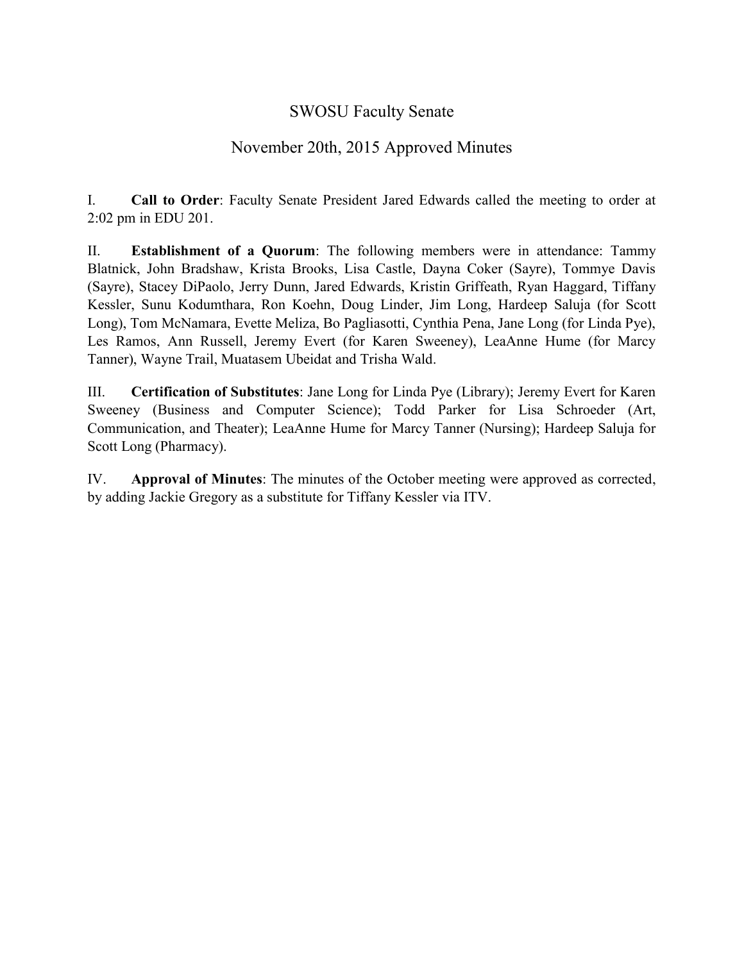## SWOSU Faculty Senate

## November 20th, 2015 Approved Minutes

I. **Call to Order**: Faculty Senate President Jared Edwards called the meeting to order at 2:02 pm in EDU 201.

II. **Establishment of a Quorum**: The following members were in attendance: Tammy Blatnick, John Bradshaw, Krista Brooks, Lisa Castle, Dayna Coker (Sayre), Tommye Davis (Sayre), Stacey DiPaolo, Jerry Dunn, Jared Edwards, Kristin Griffeath, Ryan Haggard, Tiffany Kessler, Sunu Kodumthara, Ron Koehn, Doug Linder, Jim Long, Hardeep Saluja (for Scott Long), Tom McNamara, Evette Meliza, Bo Pagliasotti, Cynthia Pena, Jane Long (for Linda Pye), Les Ramos, Ann Russell, Jeremy Evert (for Karen Sweeney), LeaAnne Hume (for Marcy Tanner), Wayne Trail, Muatasem Ubeidat and Trisha Wald.

III. **Certification of Substitutes**: Jane Long for Linda Pye (Library); Jeremy Evert for Karen Sweeney (Business and Computer Science); Todd Parker for Lisa Schroeder (Art, Communication, and Theater); LeaAnne Hume for Marcy Tanner (Nursing); Hardeep Saluja for Scott Long (Pharmacy).

IV. **Approval of Minutes**: The minutes of the October meeting were approved as corrected, by adding Jackie Gregory as a substitute for Tiffany Kessler via ITV.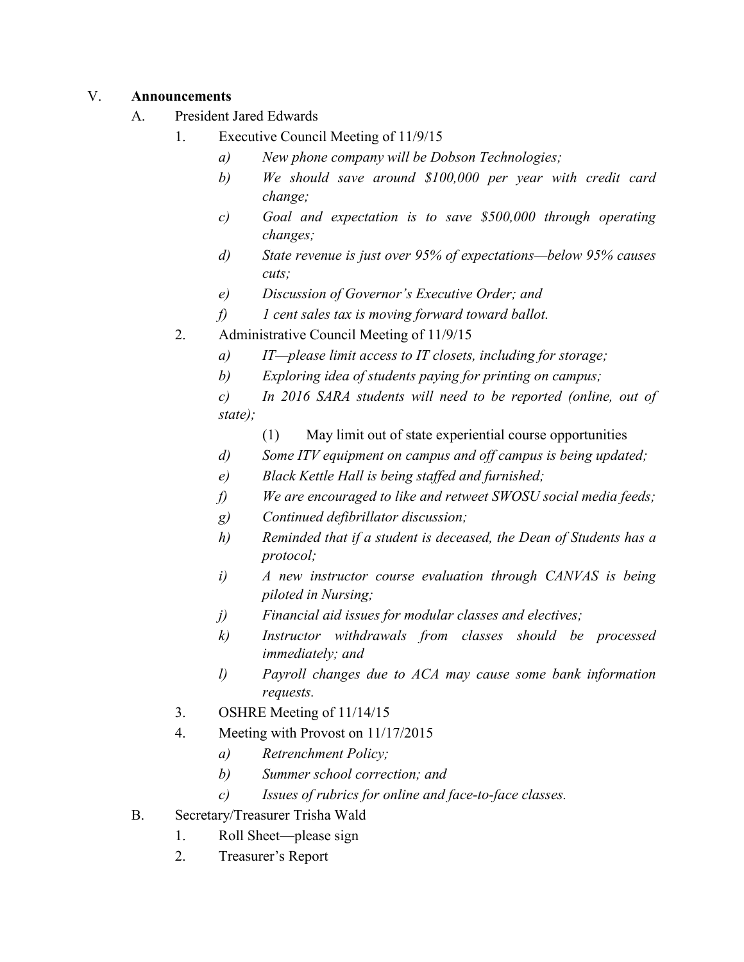### V. **Announcements**

- A. President Jared Edwards
	- 1. Executive Council Meeting of 11/9/15
		- *a) New phone company will be Dobson Technologies;*
		- *b) We should save around \$100,000 per year with credit card change;*
		- *c) Goal and expectation is to save \$500,000 through operating changes;*
		- *d) State revenue is just over 95% of expectations—below 95% causes cuts;*
		- *e) Discussion of Governor's Executive Order; and*
		- *f) 1 cent sales tax is moving forward toward ballot.*
	- 2. Administrative Council Meeting of 11/9/15
		- *a) IT—please limit access to IT closets, including for storage;*
		- *b) Exploring idea of students paying for printing on campus;*
		- *c) In 2016 SARA students will need to be reported (online, out of state);*
			- (1) May limit out of state experiential course opportunities
		- *d) Some ITV equipment on campus and off campus is being updated;*
		- *e) Black Kettle Hall is being staffed and furnished;*
		- *f) We are encouraged to like and retweet SWOSU social media feeds;*
		- *g) Continued defibrillator discussion;*
		- *h) Reminded that if a student is deceased, the Dean of Students has a protocol;*
		- *i) A new instructor course evaluation through CANVAS is being piloted in Nursing;*
		- *j) Financial aid issues for modular classes and electives;*
		- *k) Instructor withdrawals from classes should be processed immediately; and*
		- *l) Payroll changes due to ACA may cause some bank information requests.*
	- 3. OSHRE Meeting of 11/14/15
	- 4. Meeting with Provost on 11/17/2015
		- *a) Retrenchment Policy;*
		- *b) Summer school correction; and*
		- *c) Issues of rubrics for online and face-to-face classes.*
- B. Secretary/Treasurer Trisha Wald
	- 1. Roll Sheet—please sign
	- 2. Treasurer's Report